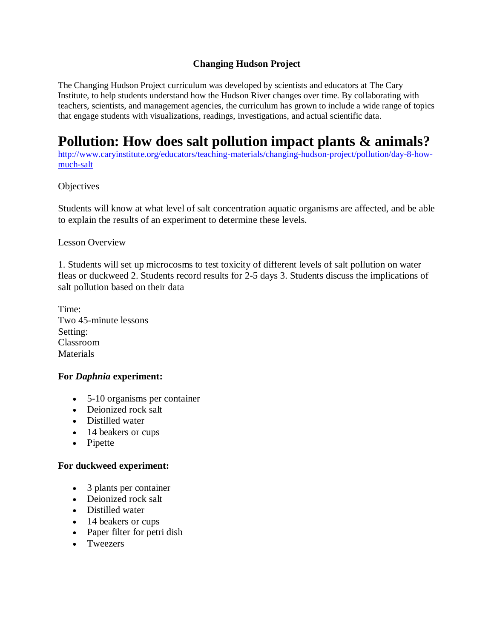## **Changing Hudson Project**

The Changing Hudson Project curriculum was developed by scientists and educators at The Cary Institute, to help students understand how the Hudson River changes over time. By collaborating with teachers, scientists, and management agencies, the curriculum has grown to include a wide range of topics that engage students with visualizations, readings, investigations, and actual scientific data.

# **Pollution: How does salt pollution impact plants & animals?**

[http://www.caryinstitute.org/educators/teaching-materials/changing-hudson-project/pollution/day-8-how](http://www.caryinstitute.org/educators/teaching-materials/changing-hudson-project/pollution/day-8-how-much-salt)[much-salt](http://www.caryinstitute.org/educators/teaching-materials/changing-hudson-project/pollution/day-8-how-much-salt)

### **Objectives**

Students will know at what level of salt concentration aquatic organisms are affected, and be able to explain the results of an experiment to determine these levels.

### Lesson Overview

1. Students will set up microcosms to test toxicity of different levels of salt pollution on water fleas or duckweed 2. Students record results for 2-5 days 3. Students discuss the implications of salt pollution based on their data

Time: Two 45-minute lessons Setting: Classroom **Materials** 

### **For** *Daphnia* **experiment:**

- 5-10 organisms per container
- Deionized rock salt
- Distilled water
- 14 beakers or cups
- Pipette

### **For duckweed experiment:**

- 3 plants per container
- Deionized rock salt
- Distilled water
- 14 beakers or cups
- Paper filter for petri dish
- Tweezers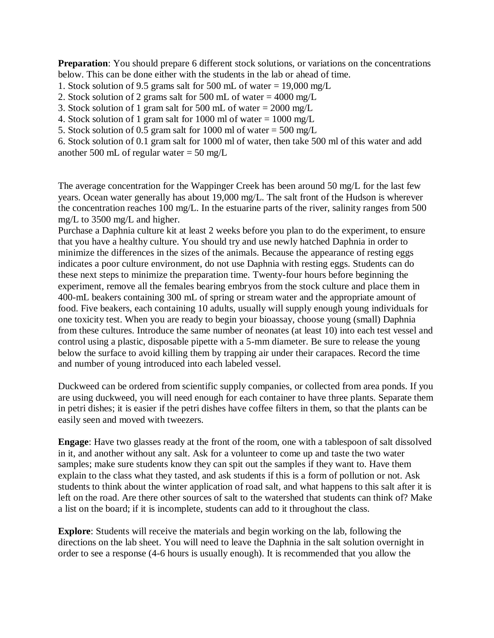**Preparation**: You should prepare 6 different stock solutions, or variations on the concentrations below. This can be done either with the students in the lab or ahead of time.

- 1. Stock solution of 9.5 grams salt for 500 mL of water = 19,000 mg/L
- 2. Stock solution of 2 grams salt for 500 mL of water =  $4000 \text{ mg/L}$
- 3. Stock solution of 1 gram salt for 500 mL of water = 2000 mg/L
- 4. Stock solution of 1 gram salt for 1000 ml of water = 1000 mg/L
- 5. Stock solution of 0.5 gram salt for 1000 ml of water =  $500 \text{ mg/L}$

6. Stock solution of 0.1 gram salt for 1000 ml of water, then take 500 ml of this water and add another 500 mL of regular water  $=$  50 mg/L

The average concentration for the Wappinger Creek has been around 50 mg/L for the last few years. Ocean water generally has about 19,000 mg/L. The salt front of the Hudson is wherever the concentration reaches 100 mg/L. In the estuarine parts of the river, salinity ranges from 500 mg/L to 3500 mg/L and higher.

Purchase a Daphnia culture kit at least 2 weeks before you plan to do the experiment, to ensure that you have a healthy culture. You should try and use newly hatched Daphnia in order to minimize the differences in the sizes of the animals. Because the appearance of resting eggs indicates a poor culture environment, do not use Daphnia with resting eggs. Students can do these next steps to minimize the preparation time. Twenty-four hours before beginning the experiment, remove all the females bearing embryos from the stock culture and place them in 400-mL beakers containing 300 mL of spring or stream water and the appropriate amount of food. Five beakers, each containing 10 adults, usually will supply enough young individuals for one toxicity test. When you are ready to begin your bioassay, choose young (small) Daphnia from these cultures. Introduce the same number of neonates (at least 10) into each test vessel and control using a plastic, disposable pipette with a 5-mm diameter. Be sure to release the young below the surface to avoid killing them by trapping air under their carapaces. Record the time and number of young introduced into each labeled vessel.

Duckweed can be ordered from scientific supply companies, or collected from area ponds. If you are using duckweed, you will need enough for each container to have three plants. Separate them in petri dishes; it is easier if the petri dishes have coffee filters in them, so that the plants can be easily seen and moved with tweezers.

**Engage**: Have two glasses ready at the front of the room, one with a tablespoon of salt dissolved in it, and another without any salt. Ask for a volunteer to come up and taste the two water samples; make sure students know they can spit out the samples if they want to. Have them explain to the class what they tasted, and ask students if this is a form of pollution or not. Ask students to think about the winter application of road salt, and what happens to this salt after it is left on the road. Are there other sources of salt to the watershed that students can think of? Make a list on the board; if it is incomplete, students can add to it throughout the class.

**Explore**: Students will receive the materials and begin working on the lab, following the directions on the lab sheet. You will need to leave the Daphnia in the salt solution overnight in order to see a response (4-6 hours is usually enough). It is recommended that you allow the